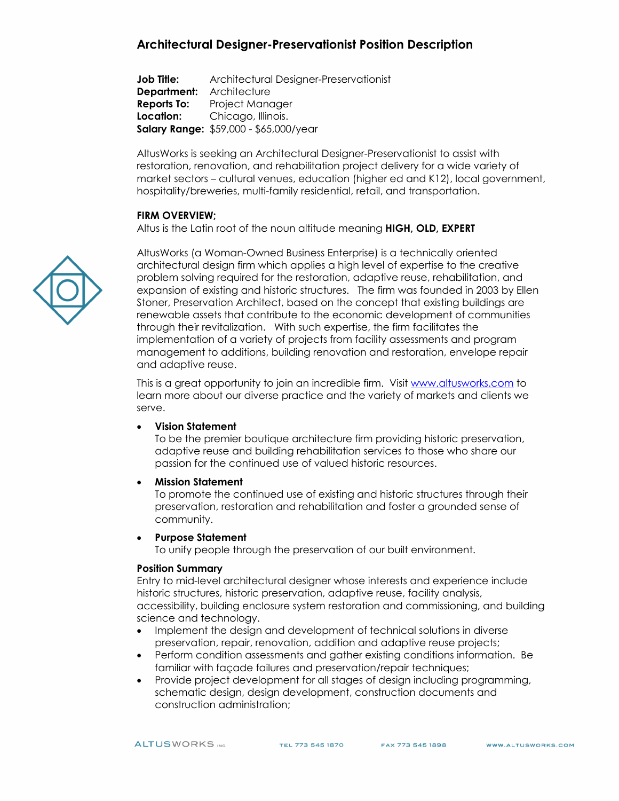# **Architectural Designer-Preservationist Position Description**

**Job Title:** Architectural Designer-Preservationist **Department:** Architecture **Reports To:** Project Manager<br> **Location:** Chicago, Illinois. **Location:** Chicago, Illinois. **Salary Range:** \$59,000 - \$65,000/year

AltusWorks is seeking an Architectural Designer-Preservationist to assist with restoration, renovation, and rehabilitation project delivery for a wide variety of market sectors – cultural venues, education (higher ed and K12), local government, hospitality/breweries, multi-family residential, retail, and transportation.

#### **FIRM OVERVIEW;**

Altus is the Latin root of the noun altitude meaning **HIGH, OLD, EXPERT**

AltusWorks (a Woman-Owned Business Enterprise) is a technically oriented architectural design firm which applies a high level of expertise to the creative problem solving required for the restoration, adaptive reuse, rehabilitation, and expansion of existing and historic structures. The firm was founded in 2003 by Ellen Stoner, Preservation Architect, based on the concept that existing buildings are renewable assets that contribute to the economic development of communities through their revitalization. With such expertise, the firm facilitates the implementation of a variety of projects from facility assessments and program management to additions, building renovation and restoration, envelope repair and adaptive reuse.

This is a great opportunity to join an incredible firm. Visit [www.altusworks.com](http://www.altusworks.com/) to learn more about our diverse practice and the variety of markets and clients we serve.

#### • **Vision Statement**

To be the premier boutique architecture firm providing historic preservation, adaptive reuse and building rehabilitation services to those who share our passion for the continued use of valued historic resources.

#### • **Mission Statement**

To promote the continued use of existing and historic structures through their preservation, restoration and rehabilitation and foster a grounded sense of community.

#### • **Purpose Statement**

To unify people through the preservation of our built environment.

#### **Position Summary**

Entry to mid-level architectural designer whose interests and experience include historic structures, historic preservation, adaptive reuse, facility analysis, accessibility, building enclosure system restoration and commissioning, and building science and technology.

- Implement the design and development of technical solutions in diverse preservation, repair, renovation, addition and adaptive reuse projects;
- Perform condition assessments and gather existing conditions information. Be familiar with façade failures and preservation/repair techniques;
- Provide project development for all stages of design including programming, schematic design, design development, construction documents and construction administration;



TEL 773 545 1870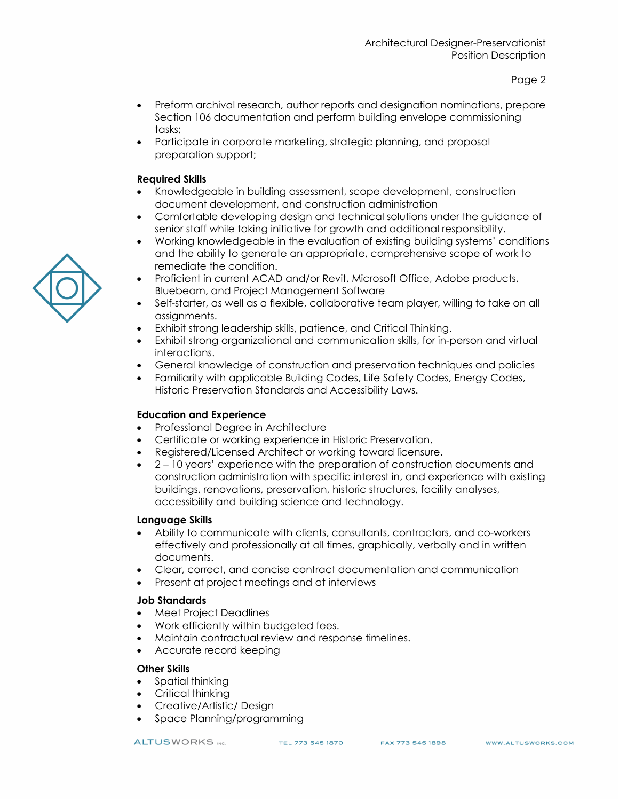- Preform archival research, author reports and designation nominations, prepare Section 106 documentation and perform building envelope commissioning tasks;
- Participate in corporate marketing, strategic planning, and proposal preparation support;

### **Required Skills**

- Knowledgeable in building assessment, scope development, construction document development, and construction administration
- Comfortable developing design and technical solutions under the guidance of senior staff while taking initiative for growth and additional responsibility.
- Working knowledgeable in the evaluation of existing building systems' conditions and the ability to generate an appropriate, comprehensive scope of work to remediate the condition.
- Proficient in current ACAD and/or Revit, Microsoft Office, Adobe products, Bluebeam, and Project Management Software
- Self-starter, as well as a flexible, collaborative team player, willing to take on all assignments.
- Exhibit strong leadership skills, patience, and Critical Thinking.
- Exhibit strong organizational and communication skills, for in-person and virtual interactions.
- General knowledge of construction and preservation techniques and policies
- Familiarity with applicable Building Codes, Life Safety Codes, Energy Codes, Historic Preservation Standards and Accessibility Laws.

# **Education and Experience**

- Professional Degree in Architecture
- Certificate or working experience in Historic Preservation.
- Registered/Licensed Architect or working toward licensure.
- 2 10 years' experience with the preparation of construction documents and construction administration with specific interest in, and experience with existing buildings, renovations, preservation, historic structures, facility analyses, accessibility and building science and technology.

# **Language Skills**

- Ability to communicate with clients, consultants, contractors, and co-workers effectively and professionally at all times, graphically, verbally and in written documents.
- Clear, correct, and concise contract documentation and communication
- Present at project meetings and at interviews

# **Job Standards**

- Meet Project Deadlines
- Work efficiently within budgeted fees.
- Maintain contractual review and response timelines.
- Accurate record keeping

# **Other Skills**

- Spatial thinking
- Critical thinking
- Creative/Artistic/ Design
- Space Planning/programming